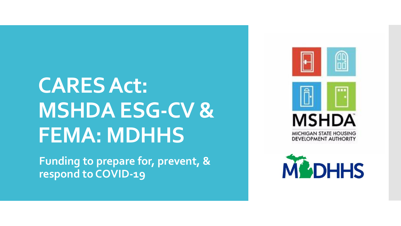## **CARES Act: MSHDA ESG-CV & FEMA: MDHHS**

**Funding to prepare for, prevent, & respond to COVID-19**



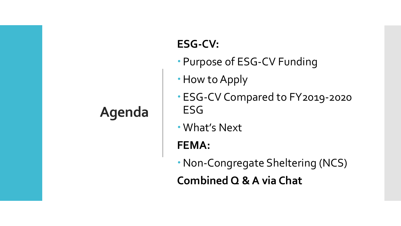### **Agenda**

#### **ESG-CV:**

- Purpose of ESG-CV Funding
- How to Apply
- ESG-CV Compared to FY2019-2020 ESG
- What's Next

**FEMA:**

Non-Congregate Sheltering (NCS) **Combined Q & A via Chat**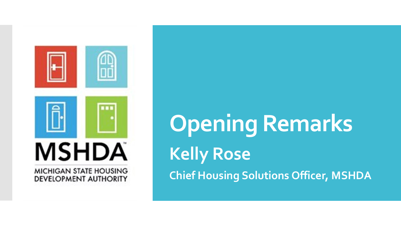

**Opening Remarks Kelly Rose Chief Housing Solutions Officer, MSHDA**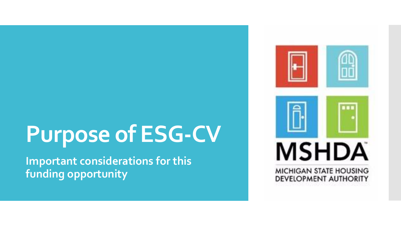## **Purpose of ESG-CV**

**Important considerations for this funding opportunity**

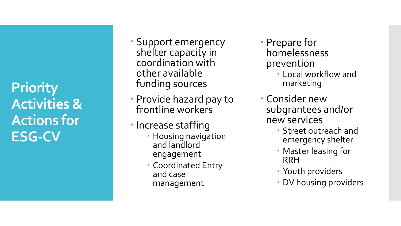**Priority Activities & Actions for ESG -CV**

- Support emergency shelter capacity in coordination with other available funding sources
- Provide hazard pay to frontline workers
- Increase staffing
	- **Housing navigation** and landlord engagement
	- Coordinated Entry and case management
- Prepare for homelessness prevention
	- Local workflow and marketing
- Consider new subgrantees and/or new services
	- Street outreach and emergency shelter
	- Master leasing for RRH
	- Youth providers
	- DV housing providers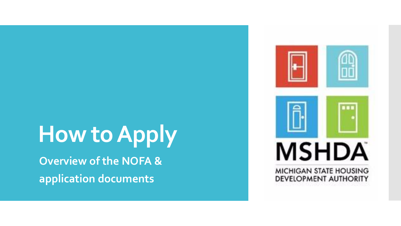### **How to Apply Overview of the NOFA &**

**application documents**

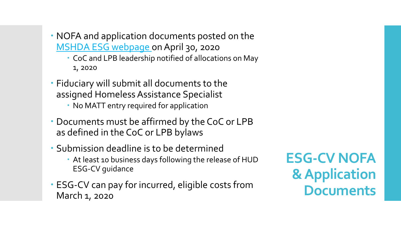- NOFA and application documents posted on the [MSHDA ESG webpage](https://www.michigan.gov/mshda/0,4641,7-141-5515-241719--,00.html) on April 30, 2020
	- CoC and LPB leadership notified of allocations on May 1, 2020
- Fiduciary will submit all documents to the assigned Homeless Assistance Specialist
	- No MATT entry required for application
- Documents must be affirmed by the CoC or LPB as defined in the CoC or LPB bylaws
- Submission deadline is to be determined
	- At least 10 business days following the release of HUD ESG-CV guidance
- ESG-CV can pay for incurred, eligible costs from March 1, 2020

**ESG-CV NOFA & Application Documents**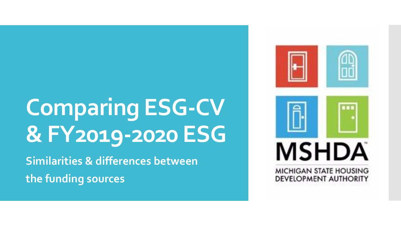# **Comparing ESG-CV & FY2019-2020 ESG**

**Similarities & differences between the funding sources**

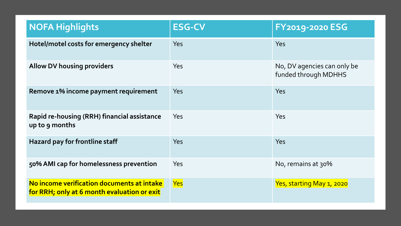| <b>NOFA Highlights</b>                                                                    | <b>ESG-CV</b> | <b>FY2019-2020 ESG</b>                              |
|-------------------------------------------------------------------------------------------|---------------|-----------------------------------------------------|
| Hotel/motel costs for emergency shelter                                                   | Yes           | <b>Yes</b>                                          |
| <b>Allow DV housing providers</b>                                                         | Yes           | No, DV agencies can only be<br>funded through MDHHS |
| Remove 1% income payment requirement                                                      | Yes           | Yes                                                 |
| Rapid re-housing (RRH) financial assistance<br>up to 9 months                             | Yes           | Yes                                                 |
| Hazard pay for frontline staff                                                            | Yes           | <b>Yes</b>                                          |
| 50% AMI cap for homelessness prevention                                                   | Yes           | No, remains at 30%                                  |
| No income verification documents at intake<br>for RRH; only at 6 month evaluation or exit | Yes           | Yes, starting May 1, 2020                           |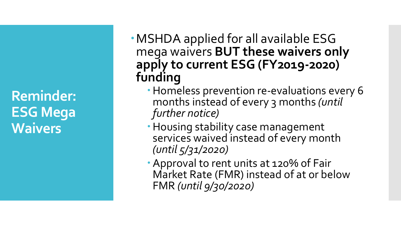**Reminder: ESG Mega Waivers**

- MSHDA applied for all available ESG mega waivers **BUT these waivers only apply to current ESG (FY2019-2020) funding**
	- Homeless prevention re-evaluations every 6 months instead of every 3 months *(until further notice)*
	- Housing stability case management services waived instead of every month *(until 5/31/2020)*
	- Approval to rent units at 120% of Fair Market Rate (FMR) instead of at or below FMR *(until 9/30/2020)*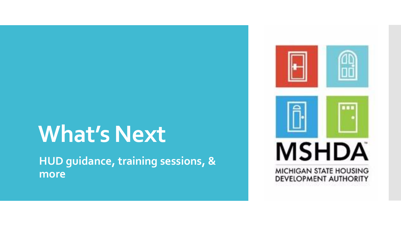## **What's Next**

**HUD guidance, training sessions, & more**

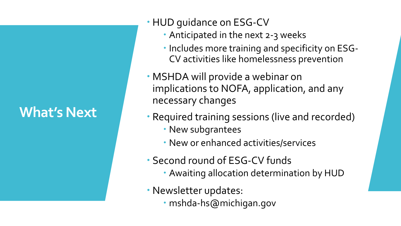#### **What's Next**

- HUD guidance on ESG-CV
	- Anticipated in the next 2-3 weeks
	- Includes more training and specificity on ESG-CV activities like homelessness prevention
- MSHDA will provide a webinar on implications to NOFA, application, and any necessary changes
- Required training sessions (live and recorded)
	- New subgrantees
	- New or enhanced activities/services
- Second round of ESG-CV funds
	- Awaiting allocation determination by HUD
- Newsletter updates:
	- mshda-hs@michigan.gov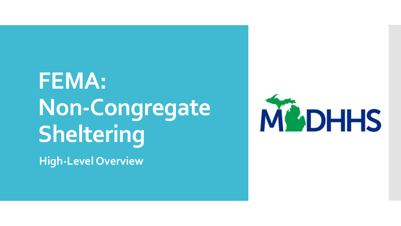# **FEMA: Non-Congregate Sheltering**

**High-Level Overview**

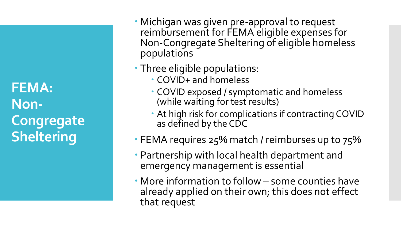**FEMA: Non-Congregate Sheltering**

- Michigan was given pre-approval to request reimbursement for FEMA eligible expenses for Non-Congregate Sheltering of eligible homeless populations
- Three eligible populations:
	- COVID+ and homeless
	- COVID exposed / symptomatic and homeless (while waiting for test results)
	- At high risk for complications if contracting COVID as defined by the CDC
- FEMA requires 25% match / reimburses up to 75%
- Partnership with local health department and emergency management is essential
- More information to follow some counties have already applied on their own; this does not effect that request